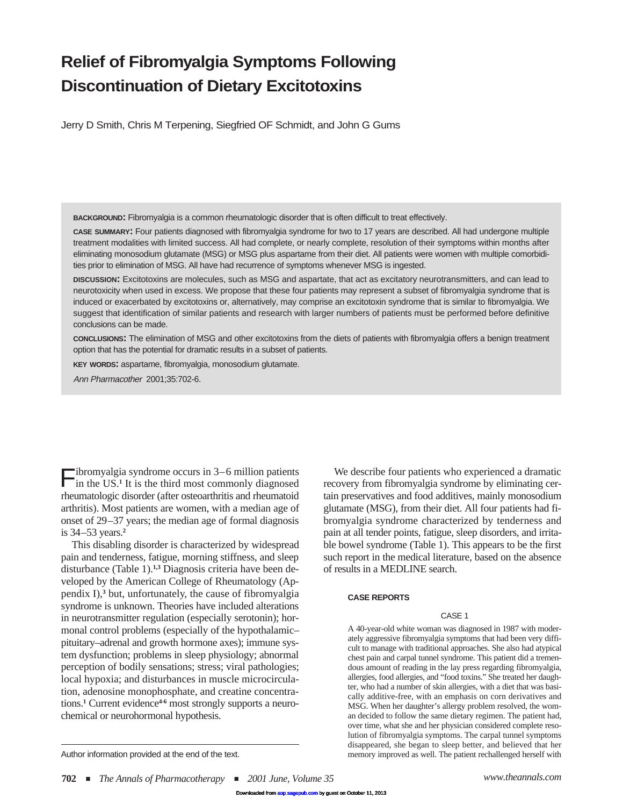# **Relief of Fibromyalgia Symptoms Following Discontinuation of Dietary Excitotoxins**

Jerry D Smith, Chris M Terpening, Siegfried OF Schmidt, and John G Gums

**BACKGROUND:** Fibromyalgia is a common rheumatologic disorder that is often difficult to treat effectively.

**CASE SUMMARY:** Four patients diagnosed with fibromyalgia syndrome for two to 17 years are described. All had undergone multiple treatment modalities with limited success. All had complete, or nearly complete, resolution of their symptoms within months after eliminating monosodium glutamate (MSG) or MSG plus aspartame from their diet. All patients were women with multiple comorbidities prior to elimination of MSG. All have had recurrence of symptoms whenever MSG is ingested.

**DISCUSSION:** Excitotoxins are molecules, such as MSG and aspartate, that act as excitatory neurotransmitters, and can lead to neurotoxicity when used in excess. We propose that these four patients may represent a subset of fibromyalgia syndrome that is induced or exacerbated by excitotoxins or, alternatively, may comprise an excitotoxin syndrome that is similar to fibromyalgia. We suggest that identification of similar patients and research with larger numbers of patients must be performed before definitive conclusions can be made.

**CONCLUSIONS:** The elimination of MSG and other excitotoxins from the diets of patients with fibromyalgia offers a benign treatment option that has the potential for dramatic results in a subset of patients.

**KEY WORDS:** aspartame, fibromyalgia, monosodium glutamate.

Ann Pharmacother 2001;35:702-6.

Fibromyalgia syndrome occurs in 3–6 million patients in the US.**<sup>1</sup>** It is the third most commonly diagnosed rheumatologic disorder (after osteoarthritis and rheumatoid arthritis). Most patients are women, with a median age of onset of 29–37 years; the median age of formal diagnosis is 34–53 years.**<sup>2</sup>**

This disabling disorder is characterized by widespread pain and tenderness, fatigue, morning stiffness, and sleep disturbance (Table 1).**1,3** Diagnosis criteria have been developed by the American College of Rheumatology (Appendix I),**<sup>3</sup>** but, unfortunately, the cause of fibromyalgia syndrome is unknown. Theories have included alterations in neurotransmitter regulation (especially serotonin); hormonal control problems (especially of the hypothalamic– pituitary–adrenal and growth hormone axes); immune system dysfunction; problems in sleep physiology; abnormal perception of bodily sensations; stress; viral pathologies; local hypoxia; and disturbances in muscle microcirculation, adenosine monophosphate, and creatine concentrations.**<sup>1</sup>** Current evidence**4-6** most strongly supports a neurochemical or neurohormonal hypothesis.

We describe four patients who experienced a dramatic recovery from fibromyalgia syndrome by eliminating certain preservatives and food additives, mainly monosodium glutamate (MSG), from their diet. All four patients had fibromyalgia syndrome characterized by tenderness and pain at all tender points, fatigue, sleep disorders, and irritable bowel syndrome (Table 1). This appears to be the first such report in the medical literature, based on the absence of results in a MEDLINE search.

#### **CASE REPORTS**

#### CASE 1

A 40-year-old white woman was diagnosed in 1987 with moderately aggressive fibromyalgia symptoms that had been very difficult to manage with traditional approaches. She also had atypical chest pain and carpal tunnel syndrome. This patient did a tremendous amount of reading in the lay press regarding fibromyalgia, allergies, food allergies, and "food toxins." She treated her daughter, who had a number of skin allergies, with a diet that was basically additive-free, with an emphasis on corn derivatives and MSG. When her daughter's allergy problem resolved, the woman decided to follow the same dietary regimen. The patient had, over time, what she and her physician considered complete resolution of fibromyalgia symptoms. The carpal tunnel symptoms disappeared, she began to sleep better, and believed that her memory improved as well. The patient rechallenged herself with

**702** ■ *The Annals of Pharmacotherapy* ■ *2001 June, Volume 35 www.theannals.com*

Author information provided at the end of the text.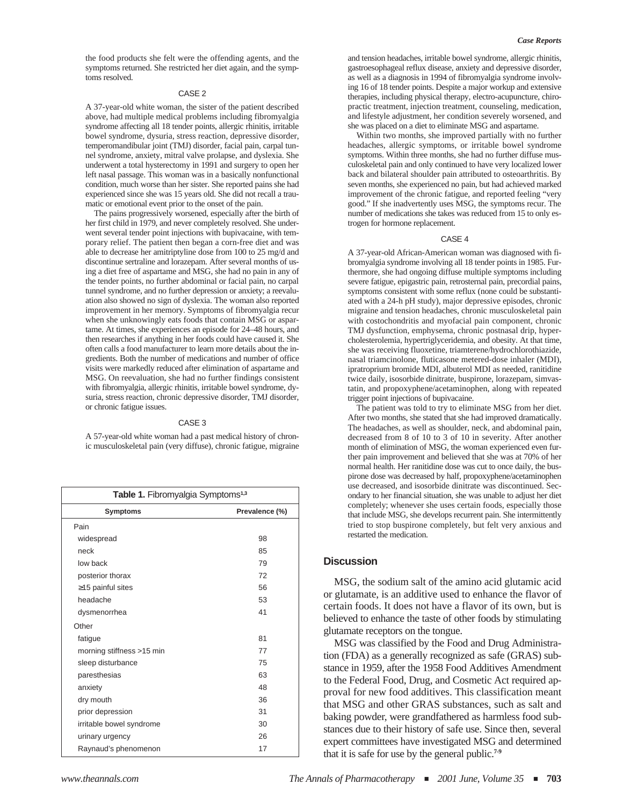the food products she felt were the offending agents, and the symptoms returned. She restricted her diet again, and the symptoms resolved.

## CASE 2

A 37-year-old white woman, the sister of the patient described above, had multiple medical problems including fibromyalgia syndrome affecting all 18 tender points, allergic rhinitis, irritable bowel syndrome, dysuria, stress reaction, depressive disorder, temperomandibular joint (TMJ) disorder, facial pain, carpal tunnel syndrome, anxiety, mitral valve prolapse, and dyslexia. She underwent a total hysterectomy in 1991 and surgery to open her left nasal passage. This woman was in a basically nonfunctional condition, much worse than her sister. She reported pains she had experienced since she was 15 years old. She did not recall a traumatic or emotional event prior to the onset of the pain.

The pains progressively worsened, especially after the birth of her first child in 1979, and never completely resolved. She underwent several tender point injections with bupivacaine, with temporary relief. The patient then began a corn-free diet and was able to decrease her amitriptyline dose from 100 to 25 mg/d and discontinue sertraline and lorazepam. After several months of using a diet free of aspartame and MSG, she had no pain in any of the tender points, no further abdominal or facial pain, no carpal tunnel syndrome, and no further depression or anxiety; a reevaluation also showed no sign of dyslexia. The woman also reported improvement in her memory. Symptoms of fibromyalgia recur when she unknowingly eats foods that contain MSG or aspartame. At times, she experiences an episode for 24–48 hours, and then researches if anything in her foods could have caused it. She often calls a food manufacturer to learn more details about the ingredients. Both the number of medications and number of office visits were markedly reduced after elimination of aspartame and MSG. On reevaluation, she had no further findings consistent with fibromyalgia, allergic rhinitis, irritable bowel syndrome, dysuria, stress reaction, chronic depressive disorder, TMJ disorder, or chronic fatigue issues.

#### CASE 3

A 57-year-old white woman had a past medical history of chronic musculoskeletal pain (very diffuse), chronic fatigue, migraine

| Table 1. Fibromyalgia Symptoms <sup>1,3</sup> |                |
|-----------------------------------------------|----------------|
| <b>Symptoms</b>                               | Prevalence (%) |
| Pain                                          |                |
| widespread                                    | 98             |
| neck                                          | 85             |
| low back                                      | 79             |
| posterior thorax                              | 72             |
| $\geq$ 15 painful sites                       | 56             |
| headache                                      | 53             |
| dysmenorrhea                                  | 41             |
| Other                                         |                |
| fatigue                                       | 81             |
| morning stiffness >15 min                     | 77             |
| sleep disturbance                             | 75             |
| paresthesias                                  | 63             |
| anxiety                                       | 48             |
| dry mouth                                     | 36             |
| prior depression                              | 31             |
| irritable bowel syndrome                      | 30             |
| urinary urgency                               | 26             |
| Raynaud's phenomenon                          | 17             |

and tension headaches, irritable bowel syndrome, allergic rhinitis, gastroesophageal reflux disease, anxiety and depressive disorder, as well as a diagnosis in 1994 of fibromyalgia syndrome involving 16 of 18 tender points. Despite a major workup and extensive therapies, including physical therapy, electro-acupuncture, chiropractic treatment, injection treatment, counseling, medication, and lifestyle adjustment, her condition severely worsened, and she was placed on a diet to eliminate MSG and aspartame.

Within two months, she improved partially with no further headaches, allergic symptoms, or irritable bowel syndrome symptoms. Within three months, she had no further diffuse musculoskeletal pain and only continued to have very localized lower back and bilateral shoulder pain attributed to osteoarthritis. By seven months, she experienced no pain, but had achieved marked improvement of the chronic fatigue, and reported feeling "very good." If she inadvertently uses MSG, the symptoms recur. The number of medications she takes was reduced from 15 to only estrogen for hormone replacement.

#### CASE 4

A 37-year-old African-American woman was diagnosed with fibromyalgia syndrome involving all 18 tender points in 1985. Furthermore, she had ongoing diffuse multiple symptoms including severe fatigue, epigastric pain, retrosternal pain, precordial pains, symptoms consistent with some reflux (none could be substantiated with a 24-h pH study), major depressive episodes, chronic migraine and tension headaches, chronic musculoskeletal pain with costochondritis and myofacial pain component, chronic TMJ dysfunction, emphysema, chronic postnasal drip, hypercholesterolemia, hypertriglyceridemia, and obesity. At that time, she was receiving fluoxetine, triamterene/hydrochlorothiazide, nasal triamcinolone, fluticasone metered-dose inhaler (MDI), ipratroprium bromide MDI, albuterol MDI as needed, ranitidine twice daily, isosorbide dinitrate, buspirone, lorazepam, simvastatin, and propoxyphene/acetaminophen, along with repeated trigger point injections of bupivacaine.

The patient was told to try to eliminate MSG from her diet. After two months, she stated that she had improved dramatically. The headaches, as well as shoulder, neck, and abdominal pain, decreased from 8 of 10 to 3 of 10 in severity. After another month of elimination of MSG, the woman experienced even further pain improvement and believed that she was at 70% of her normal health. Her ranitidine dose was cut to once daily, the buspirone dose was decreased by half, propoxyphene/acetaminophen use decreased, and isosorbide dinitrate was discontinued. Secondary to her financial situation, she was unable to adjust her diet completely; whenever she uses certain foods, especially those that include MSG, she develops recurrent pain. She intermittently tried to stop buspirone completely, but felt very anxious and restarted the medication.

## **Discussion**

MSG, the sodium salt of the amino acid glutamic acid or glutamate, is an additive used to enhance the flavor of certain foods. It does not have a flavor of its own, but is believed to enhance the taste of other foods by stimulating glutamate receptors on the tongue.

MSG was classified by the Food and Drug Administration (FDA) as a generally recognized as safe (GRAS) substance in 1959, after the 1958 Food Additives Amendment to the Federal Food, Drug, and Cosmetic Act required approval for new food additives. This classification meant that MSG and other GRAS substances, such as salt and baking powder, were grandfathered as harmless food substances due to their history of safe use. Since then, several expert committees have investigated MSG and determined that it is safe for use by the general public.**7-9**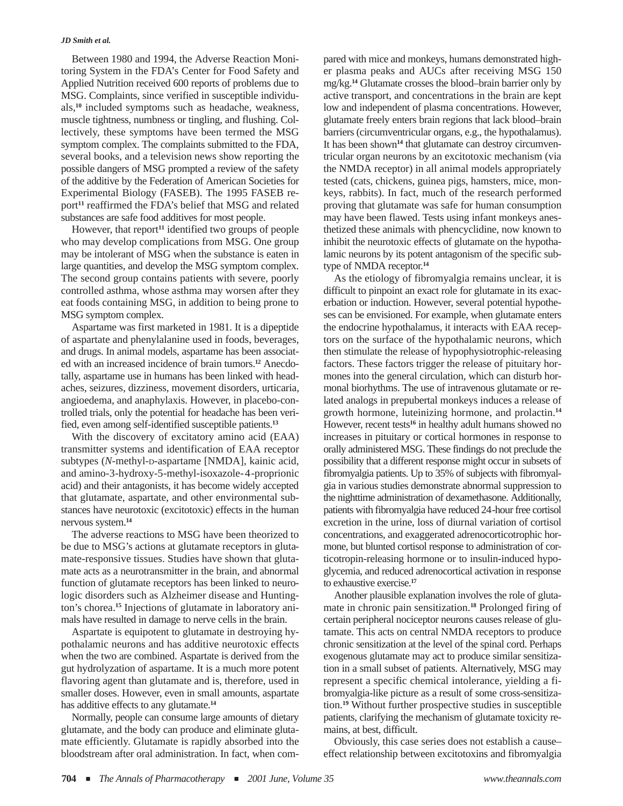## *JD Smith et al.*

Between 1980 and 1994, the Adverse Reaction Monitoring System in the FDA's Center for Food Safety and Applied Nutrition received 600 reports of problems due to MSG. Complaints, since verified in susceptible individuals,**<sup>10</sup>** included symptoms such as headache, weakness, muscle tightness, numbness or tingling, and flushing. Collectively, these symptoms have been termed the MSG symptom complex. The complaints submitted to the FDA, several books, and a television news show reporting the possible dangers of MSG prompted a review of the safety of the additive by the Federation of American Societies for Experimental Biology (FASEB). The 1995 FASEB report**<sup>11</sup>** reaffirmed the FDA's belief that MSG and related substances are safe food additives for most people.

However, that report**<sup>11</sup>** identified two groups of people who may develop complications from MSG. One group may be intolerant of MSG when the substance is eaten in large quantities, and develop the MSG symptom complex. The second group contains patients with severe, poorly controlled asthma, whose asthma may worsen after they eat foods containing MSG, in addition to being prone to MSG symptom complex.

Aspartame was first marketed in 1981. It is a dipeptide of aspartate and phenylalanine used in foods, beverages, and drugs. In animal models, aspartame has been associated with an increased incidence of brain tumors.**<sup>12</sup>** Anecdotally, aspartame use in humans has been linked with headaches, seizures, dizziness, movement disorders, urticaria, angioedema, and anaphylaxis. However, in placebo-controlled trials, only the potential for headache has been verified, even among self-identified susceptible patients.**<sup>13</sup>**

With the discovery of excitatory amino acid (EAA) transmitter systems and identification of EAA receptor subtypes (*N*-methyl-D-aspartame [NMDA], kainic acid, and amino-3-hydroxy-5-methyl-isoxazole-4-proprionic acid) and their antagonists, it has become widely accepted that glutamate, aspartate, and other environmental substances have neurotoxic (excitotoxic) effects in the human nervous system.**<sup>14</sup>**

The adverse reactions to MSG have been theorized to be due to MSG's actions at glutamate receptors in glutamate-responsive tissues. Studies have shown that glutamate acts as a neurotransmitter in the brain, and abnormal function of glutamate receptors has been linked to neurologic disorders such as Alzheimer disease and Huntington's chorea.**<sup>15</sup>** Injections of glutamate in laboratory animals have resulted in damage to nerve cells in the brain.

Aspartate is equipotent to glutamate in destroying hypothalamic neurons and has additive neurotoxic effects when the two are combined. Aspartate is derived from the gut hydrolyzation of aspartame. It is a much more potent flavoring agent than glutamate and is, therefore, used in smaller doses. However, even in small amounts, aspartate has additive effects to any glutamate.**<sup>14</sup>**

Normally, people can consume large amounts of dietary glutamate, and the body can produce and eliminate glutamate efficiently. Glutamate is rapidly absorbed into the bloodstream after oral administration. In fact, when compared with mice and monkeys, humans demonstrated higher plasma peaks and AUCs after receiving MSG 150 mg/kg.**<sup>14</sup>** Glutamate crosses the blood–brain barrier only by active transport, and concentrations in the brain are kept low and independent of plasma concentrations. However, glutamate freely enters brain regions that lack blood–brain barriers (circumventricular organs, e.g., the hypothalamus). It has been shown**<sup>14</sup>** that glutamate can destroy circumventricular organ neurons by an excitotoxic mechanism (via the NMDA receptor) in all animal models appropriately tested (cats, chickens, guinea pigs, hamsters, mice, monkeys, rabbits). In fact, much of the research performed proving that glutamate was safe for human consumption may have been flawed. Tests using infant monkeys anesthetized these animals with phencyclidine, now known to inhibit the neurotoxic effects of glutamate on the hypothalamic neurons by its potent antagonism of the specific subtype of NMDA receptor. **14**

As the etiology of fibromyalgia remains unclear, it is difficult to pinpoint an exact role for glutamate in its exacerbation or induction. However, several potential hypotheses can be envisioned. For example, when glutamate enters the endocrine hypothalamus, it interacts with EAA receptors on the surface of the hypothalamic neurons, which then stimulate the release of hypophysiotrophic-releasing factors. These factors trigger the release of pituitary hormones into the general circulation, which can disturb hormonal biorhythms. The use of intravenous glutamate or related analogs in prepubertal monkeys induces a release of growth hormone, luteinizing hormone, and prolactin.**<sup>14</sup>** However, recent tests**<sup>16</sup>** in healthy adult humans showed no increases in pituitary or cortical hormones in response to orally administered MSG. These findings do not preclude the possibility that a different response might occur in subsets of fibromyalgia patients. Up to 35% of subjects with fibromyalgia in various studies demonstrate abnormal suppression to the nighttime administration of dexamethasone. Additionally, patients with fibromyalgia have reduced 24-hour free cortisol excretion in the urine, loss of diurnal variation of cortisol concentrations, and exaggerated adrenocorticotrophic hormone, but blunted cortisol response to administration of corticotropin-releasing hormone or to insulin-induced hypoglycemia, and reduced adrenocortical activation in response to exhaustive exercise.**<sup>17</sup>**

Another plausible explanation involves the role of glutamate in chronic pain sensitization.**<sup>18</sup>** Prolonged firing of certain peripheral nociceptor neurons causes release of glutamate. This acts on central NMDA receptors to produce chronic sensitization at the level of the spinal cord. Perhaps exogenous glutamate may act to produce similar sensitization in a small subset of patients. Alternatively, MSG may represent a specific chemical intolerance, yielding a fibromyalgia-like picture as a result of some cross-sensitization.**<sup>19</sup>** Without further prospective studies in susceptible patients, clarifying the mechanism of glutamate toxicity remains, at best, difficult.

Obviously, this case series does not establish a cause– effect relationship between excitotoxins and fibromyalgia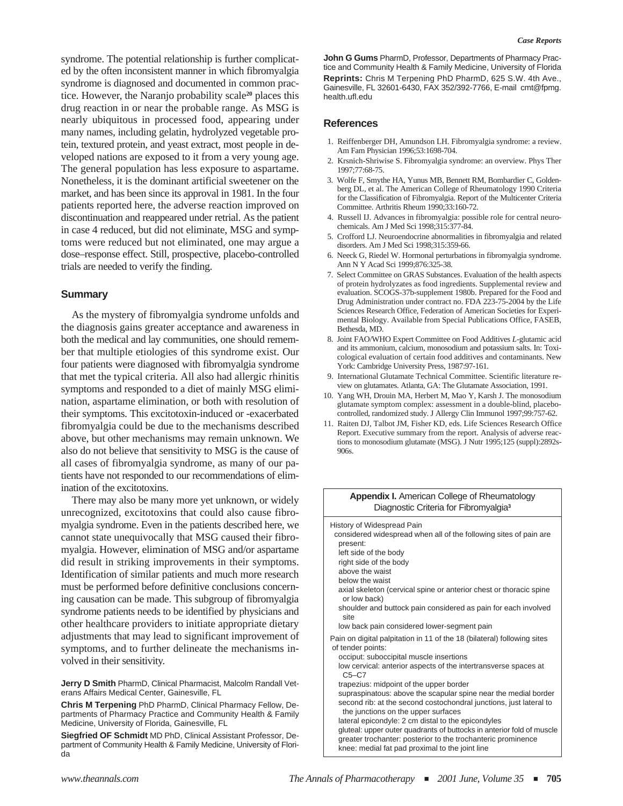syndrome. The potential relationship is further complicated by the often inconsistent manner in which fibromyalgia syndrome is diagnosed and documented in common practice. However, the Naranjo probability scale**<sup>20</sup>** places this drug reaction in or near the probable range. As MSG is nearly ubiquitous in processed food, appearing under many names, including gelatin, hydrolyzed vegetable protein, textured protein, and yeast extract, most people in developed nations are exposed to it from a very young age. The general population has less exposure to aspartame. Nonetheless, it is the dominant artificial sweetener on the market, and has been since its approval in 1981. In the four patients reported here, the adverse reaction improved on discontinuation and reappeared under retrial. As the patient in case 4 reduced, but did not eliminate, MSG and symptoms were reduced but not eliminated, one may argue a dose–response effect. Still, prospective, placebo-controlled trials are needed to verify the finding.

## **Summary**

As the mystery of fibromyalgia syndrome unfolds and the diagnosis gains greater acceptance and awareness in both the medical and lay communities, one should remember that multiple etiologies of this syndrome exist. Our four patients were diagnosed with fibromyalgia syndrome that met the typical criteria. All also had allergic rhinitis symptoms and responded to a diet of mainly MSG elimination, aspartame elimination, or both with resolution of their symptoms. This excitotoxin-induced or -exacerbated fibromyalgia could be due to the mechanisms described above, but other mechanisms may remain unknown. We also do not believe that sensitivity to MSG is the cause of all cases of fibromyalgia syndrome, as many of our patients have not responded to our recommendations of elimination of the excitotoxins.

There may also be many more yet unknown, or widely unrecognized, excitotoxins that could also cause fibromyalgia syndrome. Even in the patients described here, we cannot state unequivocally that MSG caused their fibromyalgia. However, elimination of MSG and/or aspartame did result in striking improvements in their symptoms. Identification of similar patients and much more research must be performed before definitive conclusions concerning causation can be made. This subgroup of fibromyalgia syndrome patients needs to be identified by physicians and other healthcare providers to initiate appropriate dietary adjustments that may lead to significant improvement of symptoms, and to further delineate the mechanisms involved in their sensitivity.

**Jerry D Smith** PharmD, Clinical Pharmacist, Malcolm Randall Veterans Affairs Medical Center, Gainesville, FL

**Chris M Terpening** PhD PharmD, Clinical Pharmacy Fellow, Departments of Pharmacy Practice and Community Health & Family Medicine, University of Florida, Gainesville, FL

**Siegfried OF Schmidt** MD PhD, Clinical Assistant Professor, Department of Community Health & Family Medicine, University of Florida

**John G Gums** PharmD, Professor, Departments of Pharmacy Practice and Community Health & Family Medicine, University of Florida **Reprints:** Chris M Terpening PhD PharmD, 625 S.W. 4th Ave., Gainesville, FL 32601-6430, FAX 352/392-7766, E-mail cmt@fpmg. health.ufl.edu

## **References**

- 1. Reiffenberger DH, Amundson LH. Fibromyalgia syndrome: a review. Am Fam Physician 1996;53:1698-704.
- 2. Krsnich-Shriwise S. Fibromyalgia syndrome: an overview. Phys Ther 1997;77:68-75.
- 3. Wolfe F, Smythe HA, Yunus MB, Bennett RM, Bombardier C, Goldenberg DL, et al. The American College of Rheumatology 1990 Criteria for the Classification of Fibromyalgia. Report of the Multicenter Criteria Committee. Arthritis Rheum 1990;33:160-72.
- 4. Russell IJ. Advances in fibromyalgia: possible role for central neurochemicals. Am J Med Sci 1998;315:377-84.
- 5. Crofford LJ. Neuroendocrine abnormalities in fibromyalgia and related disorders. Am J Med Sci 1998;315:359-66.
- 6. Neeck G, Riedel W. Hormonal perturbations in fibromyalgia syndrome. Ann N Y Acad Sci 1999;876:325-38.
- 7. Select Committee on GRAS Substances. Evaluation of the health aspects of protein hydrolyzates as food ingredients. Supplemental review and evaluation. SCOGS-37b-supplement 1980b. Prepared for the Food and Drug Administration under contract no. FDA 223-75-2004 by the Life Sciences Research Office, Federation of American Societies for Experimental Biology. Available from Special Publications Office, FASEB, Bethesda, MD.
- 8. Joint FAO/WHO Expert Committee on Food Additives *L*-glutamic acid and its ammonium, calcium, monosodium and potassium salts. In: Toxicological evaluation of certain food additives and contaminants. New York: Cambridge University Press, 1987:97-161.
- 9. International Glutamate Technical Committee. Scientific literature review on glutamates. Atlanta, GA: The Glutamate Association, 1991.
- 10. Yang WH, Drouin MA, Herbert M, Mao Y, Karsh J. The monosodium glutamate symptom complex: assessment in a double-blind, placebocontrolled, randomized study. J Allergy Clin Immunol 1997;99:757-62.
- 11. Raiten DJ, Talbot JM, Fisher KD, eds. Life Sciences Research Office Report. Executive summary from the report. Analysis of adverse reactions to monosodium glutamate (MSG). J Nutr 1995;125 (suppl):2892s-906s.

## **Appendix I.** American College of Rheumatology Diagnostic Criteria for Fibromyalgia**<sup>3</sup>**

History of Widespread Pain considered widespread when all of the following sites of pain are present: left side of the body right side of the body above the waist below the waist axial skeleton (cervical spine or anterior chest or thoracic spine or low back) shoulder and buttock pain considered as pain for each involved site low back pain considered lower-segment pain Pain on digital palpitation in 11 of the 18 (bilateral) following sites of tender points: occiput: suboccipital muscle insertions low cervical: anterior aspects of the intertransverse spaces at C5–C7 trapezius: midpoint of the upper border supraspinatous: above the scapular spine near the medial border second rib: at the second costochondral junctions, just lateral to the junctions on the upper surfaces lateral epicondyle: 2 cm distal to the epicondyles gluteal: upper outer quadrants of buttocks in anterior fold of muscle greater trochanter: posterior to the trochanteric prominence knee: medial fat pad proximal to the joint line